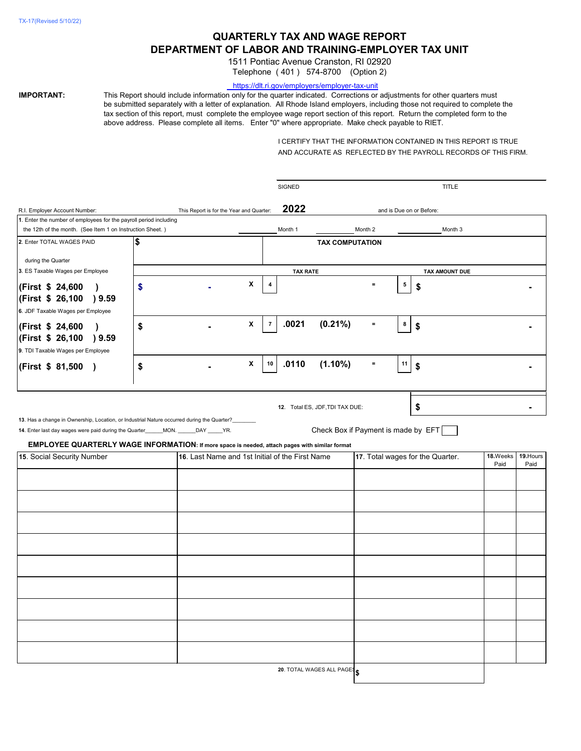# **QUARTERLY TAX AND WAGE REPORT DEPARTMENT OF LABOR AND TRAINING-EMPLOYER TAX UNIT**

1511 Pontiac Avenue Cranston, RI 02920

Telephone ( 401 ) 574-8700 (Option 2)

### <https://dlt.ri.gov/employers/employer-tax-unit>

**IMPORTANT:** This Report should include information only for the quarter indicated. Corrections or adjustments for other quarters must be submitted separately with a letter of explanation. All Rhode Island employers, including those not required to complete the tax section of this report, must complete the employee wage report section of this report. Return the completed form to the above address. Please complete all items. Enter "0" where appropriate. Make check payable to RIET.

> I CERTIFY THAT THE INFORMATION CONTAINED IN THIS REPORT IS TRUE AND ACCURATE AS REFLECTED BY THE PAYROLL RECORDS OF THIS FIRM.

|                                                                                                                                                                                                                                                                                    |                                          |                                                 |                | <b>SIGNED</b>   |                                                                        |          |                 | <b>TITLE</b>             |                   |  |
|------------------------------------------------------------------------------------------------------------------------------------------------------------------------------------------------------------------------------------------------------------------------------------|------------------------------------------|-------------------------------------------------|----------------|-----------------|------------------------------------------------------------------------|----------|-----------------|--------------------------|-------------------|--|
| R.I. Employer Account Number:                                                                                                                                                                                                                                                      | This Report is for the Year and Quarter: |                                                 |                | 2022            |                                                                        |          |                 | and is Due on or Before: |                   |  |
| 1. Enter the number of employees for the payroll period including                                                                                                                                                                                                                  |                                          |                                                 |                |                 |                                                                        |          |                 |                          |                   |  |
| the 12th of the month. (See Item 1 on Instruction Sheet.)                                                                                                                                                                                                                          |                                          |                                                 |                | Month 1         |                                                                        | Month 2  |                 | Month 3                  |                   |  |
| 2. Enter TOTAL WAGES PAID                                                                                                                                                                                                                                                          | \$                                       |                                                 |                |                 | <b>TAX COMPUTATION</b>                                                 |          |                 |                          |                   |  |
| during the Quarter                                                                                                                                                                                                                                                                 |                                          |                                                 |                |                 |                                                                        |          |                 |                          |                   |  |
| 3. ES Taxable Wages per Employee                                                                                                                                                                                                                                                   |                                          |                                                 |                | <b>TAX RATE</b> |                                                                        |          |                 | TAX AMOUNT DUE           |                   |  |
| (First \$ 24,600<br>(First \$ 26,100<br>9.59<br>6. JDF Taxable Wages per Employee                                                                                                                                                                                                  | \$                                       | X                                               | 4              |                 |                                                                        | $=$      | $5\phantom{.0}$ | \$                       |                   |  |
| (First \$ 24,600<br>(First \$ 26,100<br>9.59<br>9. TDI Taxable Wages per Employee                                                                                                                                                                                                  | \$                                       | $\boldsymbol{\mathsf{X}}$                       | $\overline{7}$ | .0021           | $(0.21\%)$                                                             | $\equiv$ | 8               | \$                       |                   |  |
| (First \$ 81,500                                                                                                                                                                                                                                                                   | \$                                       | $\boldsymbol{\mathsf{X}}$                       | 10             | .0110           | $(1.10\%)$                                                             | $=$      | 11              | \$                       |                   |  |
| 13. Has a change in Ownership, Location, or Industrial Nature occurred during the Quarter?<br>14. Enter last day wages were paid during the Quarter______MON. ______DAY _____YR.<br>EMPLOYEE QUARTERLY WAGE INFORMATION: If more space is needed, attach pages with similar format |                                          |                                                 |                |                 | 12. Total ES, JDF, TDI TAX DUE:<br>Check Box if Payment is made by EFT |          |                 | \$                       |                   |  |
| 15. Social Security Number                                                                                                                                                                                                                                                         |                                          | 16. Last Name and 1st Initial of the First Name |                |                 | 17. Total wages for the Quarter.                                       |          |                 | 18.Weeks<br>Paid         | 19. Hours<br>Paid |  |
|                                                                                                                                                                                                                                                                                    |                                          |                                                 |                |                 |                                                                        |          |                 |                          |                   |  |
|                                                                                                                                                                                                                                                                                    |                                          |                                                 |                |                 |                                                                        |          |                 |                          |                   |  |
|                                                                                                                                                                                                                                                                                    |                                          |                                                 |                |                 |                                                                        |          |                 |                          |                   |  |
|                                                                                                                                                                                                                                                                                    |                                          |                                                 |                |                 |                                                                        |          |                 |                          |                   |  |
|                                                                                                                                                                                                                                                                                    |                                          |                                                 |                |                 |                                                                        |          |                 |                          |                   |  |
|                                                                                                                                                                                                                                                                                    |                                          |                                                 |                |                 |                                                                        |          |                 |                          |                   |  |
|                                                                                                                                                                                                                                                                                    |                                          |                                                 |                |                 |                                                                        |          |                 |                          |                   |  |
|                                                                                                                                                                                                                                                                                    |                                          |                                                 |                |                 |                                                                        |          |                 |                          |                   |  |
|                                                                                                                                                                                                                                                                                    |                                          |                                                 |                |                 |                                                                        |          |                 |                          |                   |  |
|                                                                                                                                                                                                                                                                                    |                                          |                                                 |                |                 |                                                                        |          |                 |                          |                   |  |